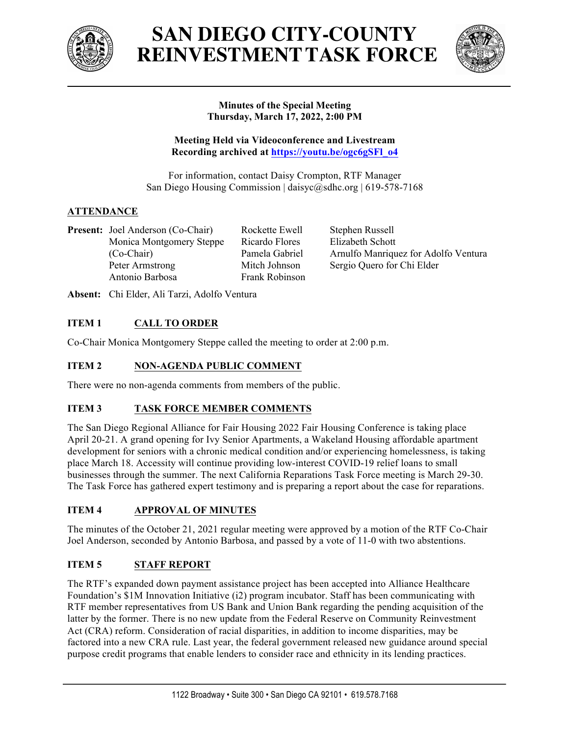

# **SAN DIEGO CITY-COUNTY REINVESTMENTTASK FORCE**



## **Minutes of the Special Meeting Thursday, March 17, 2022, 2:00 PM**

**Meeting Held via Videoconference and Livestream Recording archived at https://youtu.be/ogc6gSFl\_o4**

For information, contact Daisy Crompton, RTF Manager San Diego Housing Commission | daisyc@sdhc.org | 619-578-7168

# **ATTENDANCE**

**Present:** Joel Anderson (Co-Chair) Monica Montgomery Steppe (Co-Chair) Peter Armstrong Antonio Barbosa

Rockette Ewell Ricardo Flores Pamela Gabriel Mitch Johnson Frank Robinson Stephen Russell Elizabeth Schott Arnulfo Manriquez for Adolfo Ventura Sergio Quero for Chi Elder

**Absent:** Chi Elder, Ali Tarzi, Adolfo Ventura

## **ITEM 1 CALL TO ORDER**

Co-Chair Monica Montgomery Steppe called the meeting to order at 2:00 p.m.

## **ITEM 2 NON-AGENDA PUBLIC COMMENT**

There were no non-agenda comments from members of the public.

## **ITEM 3 TASK FORCE MEMBER COMMENTS**

The San Diego Regional Alliance for Fair Housing 2022 Fair Housing Conference is taking place April 20-21. A grand opening for Ivy Senior Apartments, a Wakeland Housing affordable apartment development for seniors with a chronic medical condition and/or experiencing homelessness, is taking place March 18. Accessity will continue providing low-interest COVID-19 relief loans to small businesses through the summer. The next California Reparations Task Force meeting is March 29-30. The Task Force has gathered expert testimony and is preparing a report about the case for reparations.

## **ITEM 4 APPROVAL OF MINUTES**

The minutes of the October 21, 2021 regular meeting were approved by a motion of the RTF Co-Chair Joel Anderson, seconded by Antonio Barbosa, and passed by a vote of 11-0 with two abstentions.

# **ITEM 5 STAFF REPORT**

The RTF's expanded down payment assistance project has been accepted into Alliance Healthcare Foundation's \$1M Innovation Initiative (i2) program incubator. Staff has been communicating with RTF member representatives from US Bank and Union Bank regarding the pending acquisition of the latter by the former. There is no new update from the Federal Reserve on Community Reinvestment Act (CRA) reform. Consideration of racial disparities, in addition to income disparities, may be factored into a new CRA rule. Last year, the federal government released new guidance around special purpose credit programs that enable lenders to consider race and ethnicity in its lending practices.